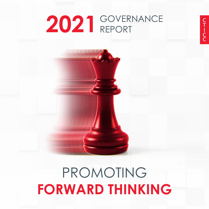# 2021 GOVERNANCE

## PROMOTING **FORWARD THINKING**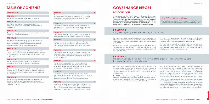## **TABLE OF CONTENTS TABLE OF CONTENTS Introduction**

#### **INTRODUCTION**

GOVERNANCE

## **PRINCIPLE 1** The governing body should lead ethically and effectively.

## **PRINCIPLE 2**

## The governing body should govern the ethics of the organisation in a way that supports

the establishment of an ethical culture.

**In accordance with the King IV Report on Corporate Governance for South Africa™ ("King IV™"), the Board of Directors is committed to ensuring that the governance structure in the Cape Town International Convention Centre SOC Limited (RF) (CTICC) cultivates good governance outcomes in relation to the CTICC's ethical culture, performance, effective control and legitimacy.**

## King IV™ principles disclosure

This report outlines how the CTICC has applied the King IV™ code in accordance with the reporting requirements under King IV™.

The Board is committed to ensuring that the governance structure of the CTICC cultivates an ethical culture in which it is able to provide effective leadership in accordance with the short-, medium- and long-term strategies of the CTICC.

The Board has a collective responsibility to ensure that the CTICC is managed effectively and ethically in a manner whereby the Board exercises leadership with good faith, integrity and in the best interests of the CTICC at all times.

The Board has ensured that a Board charter, code of conduct and ethics-related policies, through which the CTICC's ethical standards are clearly articulated, have been established and implemented.

The Board charter and code of conduct is reviewed and updated by the Board annually and ethics-related policies biennially. Furthermore, Board evaluations are undertaken on an annual basis to determine the effectiveness of the Board and its committees.

The Board is explicitly responsible for the stewardship of the CTICC and promoting ethical behaviour and compliance with relevant laws and regulations and the CTICC's ethics-related policies. The Board delegates the implementation and execution of the CTICC's ethics-related policies to management.

The CTICC's ethics-related policies, which apply to all Directors and employees, the Board charter, the code of ethics and the code of conduct, as well as the fiduciary duty as Directors, ensure that the CTICC is effectively managed in the best interest of all its stakeholders.

With the assistance of the Audit and Risk Committee, the Social and Ethics Committee and the Executive Team, the Board continuously monitors and revisits its ethics-related policies on an ongoing basis. In this regard, the CTICC conducted a detailed review of its ethics-related policies in the 2021 financial year to ensure that the CTICC's ethics were managed effectively and to ensure that there was consequence management for non-adherence to or contraventions of ethical standards.

Furthermore, strong emphasis was placed on maintaining high standards of financial management, accounting and reporting to ensure that the CTICC's affairs are managed in an ethical, transparent and responsible manner, while also taking into consideration appropriate risk parameters. In doing so, the CTICC strives towards best practices in this regard to further the objectives of the CTICC in the best interests of its stakeholders.



#### **PRINCIPLE 1 1**

The governing body should lead ethically and effectively.

#### **PRINCIPLE 2**

The governing body should govern the ethics of the organisation in a way that supports the establishment of an ethical culture.

#### **PRINCIPLE 3 2**

The governing body should ensure that the organisation is and is seen to be a good corporate citizen.

#### **PRINCIPLE 4 2**

The governing body should appreciate that the organisation's core purpose, its risks and opportunities, strategy, business model, performance and sustainable development are all inseparable elements of the value creation process.

#### **PRINCIPLE 5 3**

The governing body should ensure that reports issued by the organisation enable stakeholders to make informed assessments of the organisation's performance, and its short-, medium- and long-term prospects.

#### **PRINCIPLE 6 3**

The governing body should serve as the focal point and custodian of corporate governance in the organisation.

#### **PRINCIPLE 7**

The governing body should comprise the appropriate balance of knowledge, skills, experience,diversity and independence for it to discharge its governance role and responsibilities objectively and effectively.

#### **PRINCIPLE 8 6**

The governing body should ensure that its arrangements for delegation within its own structure promote independent judgement, and assist with balance of power and the effective discharge of its duties.

#### **PRINCIPLE 9**

The governing body should ensure that the evaluation of its own performance and that of its committees, its Chair and its individual members, support continued improvement in its performance and effectiveness

#### **PRINCIPLE 10**

The governing body should ensure that the appointment of, and delegation to, management contribute to role clarity and the effective exercise of authority and responsibilities.

#### **PRINCIPLE 11**

The governing body should govern risk in a way that supports the organisation in setting and achieving strategic objectives.

#### **PRINCIPLE 12**

The governing body should govern compliance with applicable laws and adopt non-binding rules, codes and standards in a way that supports the organisation being ethical and a good corporate citizen.

#### **PRINCIPLE 13 10**

The governing body should ensure that reports issued by the organisation enable stakeholders to make informed assessments of the organisation's performance, and its short-, medium- and long-term prospects.

#### **PRINCIPLE 14 10 10**

The governing body should ensure that the organisation remunerates fairly, responsibly and transparently so as to promote the achievement of strategic objectives and positive outcomes in the short-, medium- and long-term.

#### **PRINCIPLE 15 11 11**

The governing body should ensure that assurance services and functions enable an effective control environment, and that these support the integrity of information for internal decision-making and of the organisation's external reports.

#### **PRINCIPLE 16 11 11 11**

In the execution of its governance role and responsibilities, the governing body should adopt a stakeholder-inclusive approach that balances the needs, interests and expectations of material stakeholders in the best interests of the organisation over time.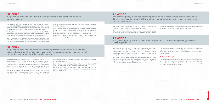#### The governing body should serve as the focal point and custodian of corporate governance

in the organisation.

The Board monitors and oversees the implementation of its policies and organisational performance thereon. During the year under review, the Board was satisfied that it had fulfilled its responsibilities in accordance with its charter.

The Board is the focal point of the CTICC's corporate governance framework and is ultimately accountable and responsible for the performance and affairs of the CTICC. The CTICC maintains strong governance principles guided by King IV™, which is implemented through the Board.

The Board is explicitly responsible for the stewardship of the CTICC and promoting ethical behaviour and compliance with relevant laws and regulations, audit and accounting principles and practices, as well as the CTICC's own code of conduct, policies and ethics.

#### Board meetings

The Board met seven times during the year under review and will meet at least four times per financial year and more often if circumstances require. Details of the Directors' attendance at meetings appear on page 152 of the Integrated Annual Report.

## **PRINCIPLE 3**

The governing body should ensure that the organisation is and is seen to be a good corporate citizen.

## **PRINCIPLE 4**

The governing body should appreciate that the organisation's core purpose, its risks and opportunities, strategy, business model, performance and sustainable development are all inseparable elements of the value creation process.

### **PRINCIPLE 5**

The governing body should ensure that reports issued by the organisation enable stakeholders to make informed assessments of the organisation's performance, and its short-, medium- and

long-term prospects.

The Board, through its committees and the Executive Team's oversight, ensures that the CTICC's responsible corporate citizenship efforts include compliance with the Constitution of South Africa, applicable laws, leading standards, and adherence to its own codes of conduct and policies.

The Board further ensures that collective regard is given to the CTICC's performance, core purpose and values, whilst considering the natural environment and society for the preservation of future generations.

With the assistance of the Audit and Risk Committee, the Social and Ethics Committee and the Executive Team, the Board continuously monitors corporate citizenship. Regular updates on laws and leading standards are provided to these committees on an ongoing basis to ensure compliance thereof at all times.

During the year under review, emphasis was placed on the effectiveness of the CTICC's systems for monitoring compliance with all applicable laws and regulations. In this regard, the CTICC has implemented thorough compliance and legal frameworks. Furthermore, the CTICC also reports to the United Nations Global Compact (UNGC) in respect of its labour, human rights, and environmental policies.

The Board informs and approves the CTICC's strategy annually as part of its business plan. Risks, opportunities and other significant matters connected to the environment, social impact and the economy in which the CTICC operates, are considered. This sets the direction for the realisation of the CTICC's core purpose and vision, which is aligned to its value drivers and the legitimate interests and expectations of its stakeholders.

The Board recognises the interests of both internal and external stakeholders and the performance of the CTICC, whilst embracing sustainable development. The Board continuously monitors the

implementation of its strategies, decisions and key policies against operational performance.

During the year under review, and given the impact of the Covid-19 lockdown regulations on the business operations of the CTICC, key emphasis was placed on developing and redefining the CTICC's short-, medium- and long-term strategies with regards to its business recovery programme.

The Board assumes responsibility for the CTICC's reporting by setting the direction for how it should be approached and conducted.

The Board, with the assistance of its committees, oversees that reports, such as this report, the Integrated Annual Report and Annual Financial Statements, comply with legal requirements and meet the legitimate and reasonable information needs of material stakeholders.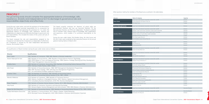#### Other positions held by the members of the Board are as outlined in the table below.

GOVERNANCE



| <b>Director</b>               | Name of company                                           | Capacity                  |
|-------------------------------|-----------------------------------------------------------|---------------------------|
|                               | Cape Town International Convention Centre SOC Ltd (RF)    | Director                  |
| <b>Deon Cloete</b>            | Cape Winelands and Imports (Pty) Ltd                      | Director                  |
|                               | The Debel Trust                                           | Trustee                   |
|                               |                                                           |                           |
| <b>Sharon Myburgh-De Gois</b> | Cape Town International Convention Centre SOC Ltd (RF)    | Director                  |
| <b>Annelise Cilliers</b>      | Cape Town International Convention Centre SOC Ltd (RF)    | Director                  |
|                               | Western Cape Government: Economic Cluster Audit Committee | Member                    |
|                               | Western Cape Government: Social Cluster Audit Committee   | Member                    |
|                               | National Library of South Africa: Audit Committee         | Member                    |
|                               | Spreading the News Family Trust                           | Trustee                   |
|                               | The Chore Ladies (Pty) Ltd                                | Director                  |
|                               | K2019106423 (South Africa) (Pty) Ltd                      | Director                  |
|                               |                                                           |                           |
| Kholeka Zama                  | Wesgro<br>Sea Harvest Ltd                                 | Director<br>Director      |
|                               | Communicare NPC                                           | Director                  |
|                               |                                                           |                           |
|                               | Cape Town International Convention Centre SOC Ltd (RF)    | Director                  |
| <b>John Fraser</b>            | Kube Yini Share Block Ltd                                 | Director                  |
|                               | Cape Town International Convention Centre SOC Ltd (RF)    | Director                  |
| <b>Solly Fourie</b>           | Wesgro                                                    | Director                  |
|                               | NIK and EM Consulting CC                                  | Member                    |
|                               | Cape Town International Convention Centre SOC Ltd (RF)    | Director                  |
| Menelisi Mdebuka              | Gebane Group Enterprises CC                               | Director                  |
|                               | Cape Town International Convention Centre SOC Ltd (RF)    | Director                  |
|                               | Commlife Holdings (Pty)Ltd                                | Director                  |
|                               | Lion of Africa Assurance Company Ltd                      | Director                  |
|                               | Community Life Insurance Company Ltd                      | Director                  |
|                               | African Peoples Investment Company (Pty) Ltd              | Director                  |
|                               | Inner Circle Entertainment (Pty) Ltd                      | Director                  |
|                               | Suidoosterfees NPC                                        | Director                  |
| Nisaar Pangarker              | CShell 369 (Pty) Ltd                                      | Director                  |
|                               | Blue Age Properties 6 (Pty) Ltd                           | Director                  |
|                               | Fred J Robertson Foundation                               | Trustee                   |
|                               | Cape Town Philharmonic Orchestra NPC                      | Director                  |
|                               | Brimstone Legacy Fund NPC                                 | Director                  |
|                               | Oceana Empowerment Trust                                  | Trustee                   |
|                               | Oceana Group Ltd                                          | Director                  |
| <b>Wayne De Wet</b>           | Cape Town International Convention Centre SOC Ltd (RF)    | <b>Executive Director</b> |
|                               | Cape Town International Convention Centre SOC Ltd (RF)    | <b>Executive Director</b> |
| <b>Taubie Motlhabane</b>      | Destination HD (Pty) Ltd                                  | Director                  |
|                               |                                                           |                           |
|                               |                                                           |                           |

## **PRINCIPLE 7**

The governing body should comprise the appropriate balance of knowledge, skills, experience, diversity and independence for it to discharge its governance role and responsibilities objectively and effectively.

During the year under review, and with the assistance of the Nominations Committee, the Board assumed responsibility for its composition by setting the direction and approving the processes for it to attain the appropriate balance of knowledge, skills, experience, diversity and independence to objectively and effectively discharge its governance role and responsibilities. This included the review of the current skill sets of Board members.

The Board reviewed the role and responsibilities assigned to the Chairperson and deemed the Chairperson as independent. Furthermore, the Chairperson is assisted by the lead independent Non-executive Director, Ms Annelise Cilliers.

The Board currently comprises ten directors, of which eight are Non-executive Directors and two are Executive Directors. Of the Non-executive Directors, six (75%) are independent. The Board is satisfied that its members have a diverse range of knowledge, skills, qualifications and experience, which enables it to contribute meaningfully to the CTICC.

During the year under review, Ms Kholeka Zama, Mr Solly Fourie and Mr John Fraser were re-elected as Non-executive Directors at the annual general meeting held on 4 March 2021.

The qualifications of Board members during the year under review were as follows:

| <b>Director</b>               | <b>Qualifications</b>                                                                                                                                                                                                                                      |
|-------------------------------|------------------------------------------------------------------------------------------------------------------------------------------------------------------------------------------------------------------------------------------------------------|
| Deon Cloete                   | 1992: Bachelor of Commerce; 1998: MBL (Masters in Business Leadership)                                                                                                                                                                                     |
| Sharon Myburgh-De Gois        | 1985: Bachelor of Social Sciences, 1986: Bachelor of Social Sciences Honours: Psychology,<br>1988: MTRP (Master of Town and Regional Planning), 1998: Diploma: Strategic Planning and Policy Development,<br>1998: Project Management: Executive Education |
| Kholeka Zama                  | 1998: Bachelor of Commerce: Accounting, 2002: Bachelor of Accounting Science Honours (CTA),<br>2004: Training in Public Practice, 2004: CA(SA)                                                                                                             |
| John Fraser                   | 1982: Bachelor of Accounting Science, 1986: MDP (Management Development Programme),<br>1989: MDP: Business Strategy, 1995: EDP (Executive Management Programme),<br>2007: Sun International Strategic Leadership Programme                                 |
| Annelise Cilliers             | 1985: Part Bachelor of Commerce, 1987: Bachelor of Accounting Science,<br>1990: Bachelor of Accounting Science Honours (CTA), 1991: CA(SA)                                                                                                                 |
| Menelisi Mdebuka              | 1979: Bachelor of Commerce, 1986: Bachelor of Commerce Honours,<br>1998: Diploma: Excellence in Managerial Sciences, 2002: Diploma: Applied International Management,<br>2010: Consultancy Business Development, 2018: PhD: Business Development           |
| Nisaar Pangarker              | 1994: Bachelor of Business Science Honours: Finance, 2012: MBA (Masters in Business Administration)                                                                                                                                                        |
| Solly Fourie                  | 1989: Bachelor of Commerce: Economics and Industrial Psychology,<br>1992: Honours Degree: Business Management and Administration, 1994: MBA (Masters in Business Administration)                                                                           |
| Wayne De Wet (Executive)      | 1991: Bachelor of Accounting Science, 1993: Bachelor of Accounting Science Honours (CTA), 1993: CA(SA)                                                                                                                                                     |
| Taubie Motlhabane (Executive) | 1991: Bachelors in Communications, 2017: Master's Degree: Global Marketing,<br>2018: Municipal Finance Management, 2020: MBA (Masters in Business Administration): Essentials                                                                              |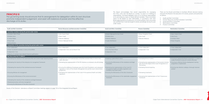The governing body should ensure that its arrangements for delegation within its own structure promote independent judgement, and assist with balance of power and the effective discharge of its duties.

The Board acknowledges that overall responsibility for managing the CTICC rests with the Board as a whole. To assist it in fulfilling its responsibilities, the Board delegates some of its functional responsibilities to its committees by means of clearly defined mandates. These committees report to the Board on their deliverables, in accordance with their Board-approved terms of references, on a continual basis. Each committee was satisfied that it had discharged its duties accordingly during the year under review.

There are five Board committees to facilitate efficient decision-making and assist the Board in the execution of its duties, powers and authorities as follows:

- • Audit and Risk Committee
- • Human Resources and Remuneration Committee
- • Social and Ethics Committee
- • Nominations Committee
- • Finance Committee

| <b>Social and Ethics Committee</b>                                                                                                | <b>Finance Committee</b>                                                                                                          | <b>Nominations Committee</b>                                                                                     |  |  |
|-----------------------------------------------------------------------------------------------------------------------------------|-----------------------------------------------------------------------------------------------------------------------------------|------------------------------------------------------------------------------------------------------------------|--|--|
|                                                                                                                                   |                                                                                                                                   |                                                                                                                  |  |  |
| · Sharon Myburgh-De Gois (Chair)                                                                                                  | · Nisaar Pangarker (Chair)                                                                                                        | · Deon Cloete (Chair)                                                                                            |  |  |
| • Kholeka Zama                                                                                                                    | · John Fraser                                                                                                                     | · Solly Fourie                                                                                                   |  |  |
| • Menelisi Mdebuka                                                                                                                | · Menelisi Mdebuka                                                                                                                | • Annelise Cilliers                                                                                              |  |  |
| • Taubie Motlhabane                                                                                                               |                                                                                                                                   | · Nisaar Pangarker                                                                                               |  |  |
|                                                                                                                                   |                                                                                                                                   |                                                                                                                  |  |  |
|                                                                                                                                   |                                                                                                                                   |                                                                                                                  |  |  |
| · Two independent                                                                                                                 | • Three independent                                                                                                               | • Three independent                                                                                              |  |  |
| • One Prescribed Officer                                                                                                          | · Independent Chair                                                                                                               | · Independent Chair                                                                                              |  |  |
| · Independent Chair                                                                                                               |                                                                                                                                   |                                                                                                                  |  |  |
|                                                                                                                                   |                                                                                                                                   |                                                                                                                  |  |  |
|                                                                                                                                   |                                                                                                                                   |                                                                                                                  |  |  |
| · Fostering a great ethical culture                                                                                               | · Overseeing finance matters                                                                                                      | • Ensuring an appropriate Board composition is in place to<br>enable the Board to execute its duties effectively |  |  |
| . Ensuring the effectiveness of the compliance and legal<br>framework                                                             | • Overseeing the implementation of the business recovery<br>plan due to the impact of the Covid-19 regulations on<br>the business | • Ensuring an effective Director development training<br>programme is implemented                                |  |  |
| . Monitoring the implementation of the Covid-19<br>Occupational Health and Safety regulations and<br>mandatory vaccination policy | · Overseeing financial reporting                                                                                                  | • Ensuring new directors undergo a thorough induction<br>process                                                 |  |  |
| · Ensuring the effectiveness of the ethics framework                                                                              | · Overseeing investments                                                                                                          |                                                                                                                  |  |  |
| · Ensuring the effectiveness of the stakeholder engagement<br>framework                                                           | . Overseeing the implementation of the IT Governance<br>Framework                                                                 |                                                                                                                  |  |  |
|                                                                                                                                   |                                                                                                                                   |                                                                                                                  |  |  |
|                                                                                                                                   |                                                                                                                                   |                                                                                                                  |  |  |
|                                                                                                                                   |                                                                                                                                   |                                                                                                                  |  |  |
|                                                                                                                                   |                                                                                                                                   |                                                                                                                  |  |  |
|                                                                                                                                   |                                                                                                                                   |                                                                                                                  |  |  |

| <b>Audit and Risk Committee</b>                                                     | <b>Human Resources and Remuneration Committee</b>                                                                                                                                | <b>Social and Ethics Committee</b>                                                                                                | <b>Finance Committee</b>                                                                                                          | <b>Nominations Committee</b>                           |
|-------------------------------------------------------------------------------------|----------------------------------------------------------------------------------------------------------------------------------------------------------------------------------|-----------------------------------------------------------------------------------------------------------------------------------|-----------------------------------------------------------------------------------------------------------------------------------|--------------------------------------------------------|
| Committee members during the period under review                                    |                                                                                                                                                                                  |                                                                                                                                   |                                                                                                                                   |                                                        |
| • Annelise Cilliers (Chair)                                                         | · John Fraser (Chair)                                                                                                                                                            | · Sharon Myburgh-De Gois (Chair)                                                                                                  | · Nisaar Pangarker (Chair)                                                                                                        | • Deon Cloete (Chair)                                  |
| • Kholeka Zama                                                                      | • Deon Cloete                                                                                                                                                                    | • Kholeka Zama                                                                                                                    | • John Fraser                                                                                                                     | · Solly Fourie                                         |
| • Lindiwe Ndaba                                                                     | · Menelisi Mdebuka                                                                                                                                                               | · Menelisi Mdebuka                                                                                                                | · Menelisi Mdebuka                                                                                                                | • Annelise Cilliers                                    |
| • Divya Singh                                                                       | · Sharon Myburgh De-Gois                                                                                                                                                         | · Taubie Motlhabane                                                                                                               |                                                                                                                                   | · Nisaar Pangarker                                     |
| • Mervyn Burton                                                                     |                                                                                                                                                                                  |                                                                                                                                   |                                                                                                                                   |                                                        |
| Composition of the committee during the period under review                         |                                                                                                                                                                                  |                                                                                                                                   |                                                                                                                                   |                                                        |
| • Two independent                                                                   | • Four independent                                                                                                                                                               | · Two independent                                                                                                                 | • Three independent                                                                                                               | • Three independent                                    |
| • Three City-elected members in terms of the MFMA                                   | . Independent Chair and not Board Chair                                                                                                                                          | • One Prescribed Officer                                                                                                          | · Independent Chair                                                                                                               | • Independent Chair                                    |
| · Independent Chair                                                                 |                                                                                                                                                                                  | • Independent Chair                                                                                                               |                                                                                                                                   |                                                        |
| . Majority of members have relevant financial qualifications                        |                                                                                                                                                                                  |                                                                                                                                   |                                                                                                                                   |                                                        |
| Key focus areas for FY 2020/21                                                      |                                                                                                                                                                                  |                                                                                                                                   |                                                                                                                                   |                                                        |
| . Overseeing the maturity of the Governance Risk and Control Target Operating Model | . Ongoing review and implementation of the Remuneration Policy to attract and<br>retain vital talent                                                                             | • Fostering a great ethical culture                                                                                               | • Overseeing finance matters                                                                                                      | • Ensuring an appropriate<br>enable the Board to exed  |
| . Overseeing the maturity of the enterprise risk management framework               | • Overseeing the implementation of the HR initiatives as contained in the HR Strategy                                                                                            | · Ensuring the effectiveness of the compliance and legal<br>framework                                                             | • Overseeing the implementation of the business recovery<br>plan due to the impact of the Covid-19 regulations on<br>the business | · Ensuring an effective Dire<br>programme is implement |
| • Overseeing the maturity of the combined assurance framework                       | • Ensuring the wellbeing of employees given the Covid-19 pandemic and subsequent<br>regulations in terms of the Disaster Management Act and the recent retrenchment<br>programme | • Monitoring the implementation of the Covid-19<br>Occupational Health and Safety regulations and<br>mandatory vaccination policy | • Overseeing financial reporting                                                                                                  | • Ensuring new directors u<br>process                  |
| • Ensuring effective risk management                                                | . Overseeing the implementation of the Covid-19 Occupational Health and Safety<br>regulations                                                                                    | • Ensuring the effectiveness of the ethics framework                                                                              | • Overseeing investments                                                                                                          |                                                        |
| • Ensuring the effectiveness of the control environment                             |                                                                                                                                                                                  | • Ensuring the effectiveness of the stakeholder engagement<br>framework                                                           | . Overseeing the implementation of the IT Governance<br>Framework                                                                 |                                                        |
| . Overseeing the maturity of the compliance and legal framework                     |                                                                                                                                                                                  |                                                                                                                                   |                                                                                                                                   |                                                        |
| • Reviewing business continuity management                                          |                                                                                                                                                                                  |                                                                                                                                   |                                                                                                                                   |                                                        |
| • Ensuring the effectiveness of the ethics framework                                |                                                                                                                                                                                  |                                                                                                                                   |                                                                                                                                   |                                                        |

Details of the Directors' attendance at Board Committee meetings appear on page 152 of the Integrated Annual Report.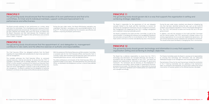The governing body should ensure that the evaluation of its own performance and that of its committees, its Chair and its individual members, support continued improvement in its performance and effectiveness.

## **PRINCIPLE 10**

The governing body should ensure that the appointment of, and delegation to, management contribute to role clarity and the effective exercise of authority and responsibilities.

The Board annually evaluates its own performance as a whole, along with that of its committees. This is facilitated by each individual Director completing a questionnaire anonymously. The responses to the questionnaire are then collected and collated, after which the results are tabled with the Board. Discussions are then held between the Chairperson and each individual Director with regard to their performance and corrective action is taken, if required.

During the year under review, the Board effectiveness evaluation was undertaken internally in accordance with recommended practice 74 of King IV™. The Board was satisfied that the evaluation was effective and assisted in improving the Board's performance.

The Chief Executive Officer has delegated authority from the Board regarding the responsibility and custodianship for day-to-day operations and risk management.

This mandate authorises the Chief Executive Officer to command required resources, internal and external, to ensure that the CTICC is managed in accordance with its strategic objectives. The Chief Executive Officer is further assisted in carrying out her duties by an Executive Team and Senior Management. Regular meetings are held between the Executive Team and Senior Management to attend to day-to-day operations and risk management. The Board is satisfied that the delegation of authority framework contributes to role clarity and the effective exercise of authority.

With the assistance of the Human Resources and Remuneration Committee, a succession plan for the Chief Executive Officer and Executive Team is currently in place. Both the Board and the Executive Team have access to corporate governance services, which are deemed effective.

The other professional commitments of the Chief Executive Officer are outlined on page 5 of this report. The notice period for the Chief Executive Officer, as stipulated in her employment contract, is that of three calendar months.

## **PRINCIPLE 11**

## The governing body should govern risk in a way that supports the organisation in setting and

achieving strategic objectives.

## **PRINCIPLE 12**

#### The governing body should govern technology and information in a way that supports the organisation setting and achieving its strategic objectives.

The Board is responsible for the governance of risk and delegates oversight thereof to the Audit and Risk Committee to monitor the enterprise risk management framework and risk management processes. Risk management is an integral part of the CTICC's strategic management and is essential in ensuring sustainable growth.

The Board is assisted by the Audit and Risk Committee, as well as the internal auditor, in managing the enterprise risk management framework that articulates and gives effect to its set direction on risk. The Executive Team further continues to monitor and identify key risks in the business.

During the year under review, emphasis was placed on mitigating key risks that had been identified during the year, such as the Covid-19 pandemic and subsequent regulations in terms of the Disaster Management Act. The CTICC will continue to assess and monitor this risk in the year going forward.

In addition, and with the assistance of the Audit and Risk Committee and the internal auditor, the CTICC performed a strategic review of its existing organisational risk structure and implemented governance, risk and control frameworks and an enterprise risk management framework. This would further assist the Board in managing key risks in the business.

The Board has a collective responsibility to ensure that the CTICC's technology and information are managed effectively and ethically. In accordance with the strategic objectives of the CTICC, the Board has adopted and implemented an information technology (IT) governance framework. This framework sets the direction on the employment of technology and information, which includes ICT governance structures, processes and principles. The Executive Team is responsible for ensuring that the IT governance framework and IT-related policies are implemented and managed accordingly.

The Finance Committee assists the Board in carrying out its responsibilities by ensuring that technology and information risks are adequately addressed through its risk management and monitoring processes.

Planned areas of focus for the next financial year include the constitution of the IT Steering Committee and the updating of the mechanism's table, as contained in the framework, to ensure that it reflects the correct cross-section of business systems to the affected business role-player.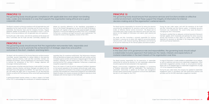The governing body should govern compliance with applicable laws and adopt non-binding rules, codes and standards in a way that supports the organisation being ethical and a good corporate citizen.

## **PRINCIPLE 14**

The governing body should ensure that the organisation remunerates fairly, responsibly and transparently so as to promote the achievement of strategic objectives and positive outcomes in the short-, medium- and long-term.

The Board is assisted in achieving compliance with all applicable laws and regulations by the Audit and Risk Committee and the Social and Ethics Committee, the Executive Team and the Company Secretary. Regular legislative updates are provided to the committees to assist it, and the Board, in ensuring compliance with all applicable laws and regulations.

During the year under review, and with the assistance of the Social and Ethics Committee and the Audit and Risk Committee, emphasis was placed on ensuring adherence to the regulations promulgated in terms of the Disaster Management Act due to the Covid-19 pandemic, specifically with regards to the Covid-19 Occupational Health and Safety regulations, to ensure the wellbeing and safety of the CTICC's employees. Furthermore, compliance and legal frameworks were implemented. This included the review of the regulatory universe of the CTICC.

The Board, with the assistance of the Human Resources and Remuneration Committee, assumes responsibility for policies relating to Non-executive Directors, Executive Directors, Audit and Risk Committee members and employee remuneration, and the establishment of a remuneration strategy to promote the achievement of the CTICC's strategic objectives and encourages individual performance.

The remuneration of the Non-executive Directors, Audit and Risk Committee members, Executive Directors, and Senior Managers are aligned with the Municipal Finance Management Act (MFMA). The Cape Town City Council sets and revises the upper limits of remuneration for the Non-executive Directors, as well as the Chief Executive Officer and all staff reporting directly to her.

A performance-based incentive scheme is in place in respect of all levels of the CTICC to acknowledge the contributions of individual employees by rewarding them for exceptional performance. Key Performance Indicators (KPIs) are identified and agreed upon between each staff member and their immediate superior and their performance is measured against these agreed indicators. Individuals' KPIs are linked to the CTICC's KPIs as a means of ensuring that the CTICC achieves its objectives. Furthermore, a reward and recognition programme is in place.

Due to the impact of Covid-19 and the subsequent lockdown regulations on the business operations of the company during the year under review, no salary adjustments at all levels in the company or any performance-based incentives were awarded and a retrenchment programme was implemented. Despite the above, the company remained committed to retaining its critical employees with minimal impact on their livelihoods.

## **PRINCIPLE 15**

The governing body should ensure that assurance services and functions enable an effective control environment, and that these support the integrity of information for internal decision-making and of the organisation's external reports.

## **PRINCIPLE 16**

In the execution of its governance role and responsibilities, the governing body should adopt a stakeholder-inclusive approach that balances the needs, interests and expectations of material stakeholders in the best interests of the organisation over time.

The Board assumes responsibility for assurance by setting the direction concerning the arrangements for assurance services and functions to enable an effective internal control environment. The Board and its committees have a duty to assess with objectivity and to form their own opinion on the integrity of information and reports, both internal and external.

The Audit and Risk Committee is primarily responsible for assisting the Board in carrying out its duties with regard to accounting policies, internal controls, audit, financial reporting, identification and monitoring of risk and the relationship ith the internal auditors and external auditors.

During the year under review, and with the assistance of the Audit and Risk Committee and the internal auditor, a combined assurance framework was implemented. This would further assist the Board in managing key risks in the business.

The Board is satisfied that an adequate combined assurance framework had been applied, which incorporates and optimises the various assurance services and functions so that, taken as a whole, these support the objectives for assurance as described in the Integrated Annual Report and Annual Financial Statements.

The Board assumes responsibility for the governance of stakeholder relationships by setting the direction for how stakeholder relationships should be approached and conducted in the organisation.

Regular communication, engagement and feedback is a cornerstone of building relationships with our stakeholders. The maintaining of stakeholder relationships is upheld via the Board and management through various communication touchpoints to ensure that stakeholders feel part of, and integral to, the CTICC.

A range of information is made available to stakeholders via our website, as well as roadshows and one-on-one stakeholder engagements. Other shareholder engagement activities include an annual general meeting. Please refer to the detailed report on stakeholder engagements on page 157 of the Integrated Annual Report.

During the year under review, the company has updated its stakeholder engagement policy in accordance with best governance practices and principles and the AA1000 stakeholder engagement standard.